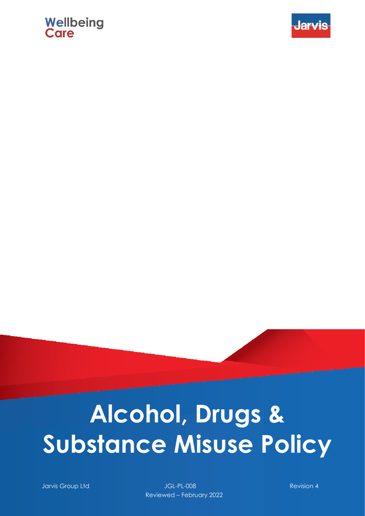# **Wellbeing**<br>Care



# **Alcohol, Drugs & Substance Misuse Policy**

Jarvis Group Ltd JGL-PL-008 Revision 4 Reviewed – February 2022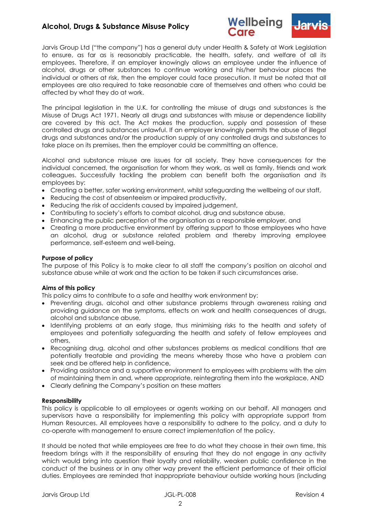



Jarvis Group Ltd ("the company") has a general duty under Health & Safety at Work Legislation to ensure, as far as is reasonably practicable, the health, safety, and welfare of all its employees. Therefore, if an employer knowingly allows an employee under the influence of alcohol, drugs or other substances to continue working and his/her behaviour places the individual or others at risk, then the employer could face prosecution. It must be noted that all employees are also required to take reasonable care of themselves and others who could be affected by what they do at work.

The principal legislation in the U.K. for controlling the misuse of drugs and substances is the Misuse of Drugs Act 1971. Nearly all drugs and substances with misuse or dependence liability are covered by this act. The Act makes the production, supply and possession of these controlled drugs and substances unlawful. If an employer knowingly permits the abuse of illegal drugs and substances and/or the production supply of any controlled drugs and substances to take place on its premises, then the employer could be committing an offence.

Alcohol and substance misuse are issues for all society. They have consequences for the individual concerned, the organisation for whom they work, as well as family, friends and work colleagues. Successfully tackling the problem can benefit both the organisation and its employees by:

- Creating a better, safer working environment, whilst safeguarding the wellbeing of our staff,
- Reducing the cost of absenteeism or impaired productivity,
- Reducing the risk of accidents caused by impaired judgement,
- Contributing to society's efforts to combat alcohol, drug and substance abuse,
- Enhancing the public perception of the organisation as a responsible employer, and
- Creating a more productive environment by offering support to those employees who have an alcohol, drug or substance related problem and thereby improving employee performance, self-esteem and well-being.

#### **Purpose of policy**

The purpose of this Policy is to make clear to all staff the company's position on alcohol and substance abuse while at work and the action to be taken if such circumstances arise.

# **Aims of this policy**

This policy aims to contribute to a safe and healthy work environment by:

- Preventing drugs, alcohol and other substance problems through awareness raising and providing guidance on the symptoms, effects on work and health consequences of drugs, alcohol and substance abuse,
- Identifying problems at an early stage, thus minimising risks to the health and safety of employees and potentially safeguarding the health and safety of fellow employees and others,
- Recognising drug, alcohol and other substances problems as medical conditions that are potentially treatable and providing the means whereby those who have a problem can seek and be offered help in confidence,
- Providing assistance and a supportive environment to employees with problems with the aim of maintaining them in and, where appropriate, reintegrating them into the workplace, AND
- Clearly defining the Company's position on these matters

# **Responsibility**

This policy is applicable to all employees or agents working on our behalf. All managers and supervisors have a responsibility for implementing this policy with appropriate support from Human Resources. All employees have a responsibility to adhere to the policy, and a duty to co-operate with management to ensure correct implementation of the policy.

It should be noted that while employees are free to do what they choose in their own time, this freedom brings with it the responsibility of ensuring that they do not engage in any activity which would bring into question their loyalty and reliability, weaken public confidence in the conduct of the business or in any other way prevent the efficient performance of their official duties. Employees are reminded that inappropriate behaviour outside working hours (including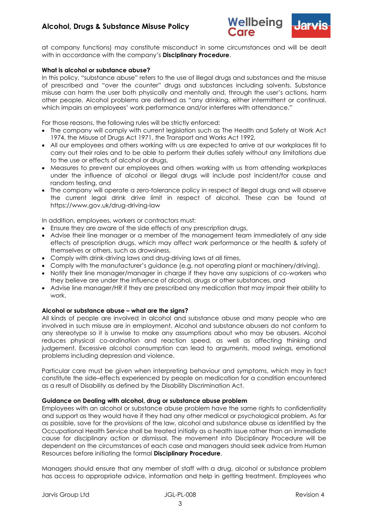



at company functions) may constitute misconduct in some circumstances and will be dealt with in accordance with the company's **Disciplinary Procedure**.

#### **What is alcohol or substance abuse?**

In this policy, "substance abuse" refers to the use of illegal drugs and substances and the misuse of prescribed and "over the counter" drugs and substances including solvents. Substance misuse can harm the user both physically and mentally and, through the user's actions, harm other people. Alcohol problems are defined as "any drinking, either intermittent or continual, which impairs an employees' work performance and/or interferes with attendance."

For those reasons, the following rules will be strictly enforced:

- The company will comply with current legislation such as The Health and Safety at Work Act 1974, the Misuse of Drugs Act 1971, the Transport and Works Act 1992,
- All our employees and others working with us are expected to arrive at our workplaces fit to carry out their roles and to be able to perform their duties safely without any limitations due to the use or effects of alcohol or drugs,
- Measures to prevent our employees and others working with us from attending workplaces under the influence of alcohol or illegal drugs will include post incident/for cause and random testing, and
- The company will operate a zero-tolerance policy in respect of illegal drugs and will observe the current legal drink drive limit in respect of alcohol. These can be found at https://www.gov.uk/drug-driving-law

In addition, employees, workers or contractors must:

- Ensure they are aware of the side effects of any prescription drugs,
- Advise their line manager or a member of the management team immediately of any side effects of prescription drugs, which may affect work performance or the health & safety of themselves or others, such as drowsiness,
- Comply with drink-driving laws and drug-driving laws at all times,
- Comply with the manufacturer's guidance (e.g. not operating plant or machinery/driving),
- Notify their line manager/manager in charge if they have any suspicions of co-workers who they believe are under the influence of alcohol, drugs or other substances, and
- Advise line manager/HR if they are prescribed any medication that may impair their ability to work.

# **Alcohol or substance abuse – what are the signs?**

All kinds of people are involved in alcohol and substance abuse and many people who are involved in such misuse are in employment. Alcohol and substance abusers do not conform to any stereotype so it is unwise to make any assumptions about who may be abusers. Alcohol reduces physical co-ordination and reaction speed, as well as affecting thinking and judgement. Excessive alcohol consumption can lead to arguments, mood swings, emotional problems including depression and violence.

Particular care must be given when interpreting behaviour and symptoms, which may in fact constitute the side–effects experienced by people on medication for a condition encountered as a result of Disability as defined by the Disability Discrimination Act.

#### **Guidance on Dealing with alcohol, drug or substance abuse problem**

Employees with an alcohol or substance abuse problem have the same rights to confidentiality and support as they would have if they had any other medical or psychological problem. As far as possible, save for the provisions of the law, alcohol and substance abuse as identified by the Occupational Health Service shall be treated initially as a health issue rather than an immediate cause for disciplinary action or dismissal. The movement into Disciplinary Procedure will be dependent on the circumstances of each case and managers should seek advice from Human Resources before initiating the formal **Disciplinary Procedure**.

Managers should ensure that any member of staff with a drug, alcohol or substance problem has access to appropriate advice, information and help in getting treatment. Employees who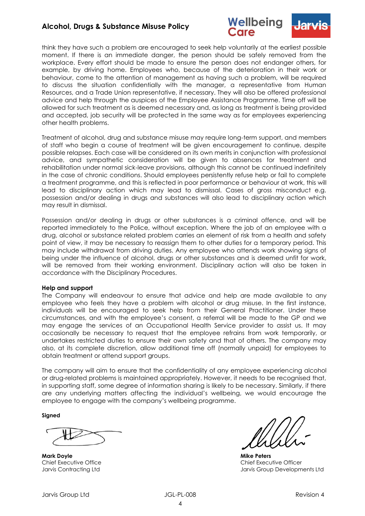



think they have such a problem are encouraged to seek help voluntarily at the earliest possible moment. If there is an immediate danger, the person should be safely removed from the workplace. Every effort should be made to ensure the person does not endanger others, for example, by driving home. Employees who, because of the deterioration in their work or behaviour, come to the attention of management as having such a problem, will be required to discuss the situation confidentially with the manager, a representative from Human Resources, and a Trade Union representative, if necessary. They will also be offered professional advice and help through the auspices of the Employee Assistance Programme. Time off will be allowed for such treatment as is deemed necessary and, as long as treatment is being provided and accepted, job security will be protected in the same way as for employees experiencing other health problems.

Treatment of alcohol, drug and substance misuse may require long-term support, and members of staff who begin a course of treatment will be given encouragement to continue, despite possible relapses. Each case will be considered on its own merits in conjunction with professional advice, and sympathetic consideration will be given to absences for treatment and rehabilitation under normal sick-leave provisions, although this cannot be continued indefinitely in the case of chronic conditions. Should employees persistently refuse help or fail to complete a treatment programme, and this is reflected in poor performance or behaviour at work, this will lead to disciplinary action which may lead to dismissal. Cases of gross misconduct e.g. possession and/or dealing in drugs and substances will also lead to disciplinary action which may result in dismissal.

Possession and/or dealing in drugs or other substances is a criminal offence, and will be reported immediately to the Police, without exception. Where the job of an employee with a drug, alcohol or substance related problem carries an element of risk from a health and safety point of view, it may be necessary to reassign them to other duties for a temporary period. This may include withdrawal from driving duties. Any employee who attends work showing signs of being under the influence of alcohol, drugs or other substances and is deemed unfit for work, will be removed from their working environment. Disciplinary action will also be taken in accordance with the Disciplinary Procedures.

#### **Help and support**

The Company will endeavour to ensure that advice and help are made available to any employee who feels they have a problem with alcohol or drug misuse. In the first instance, individuals will be encouraged to seek help from their General Practitioner. Under these circumstances, and with the employee's consent, a referral will be made to the GP and we may engage the services of an Occupational Health Service provider to assist us. It may occasionally be necessary to request that the employee refrains from work temporarily, or undertakes restricted duties to ensure their own safety and that of others. The company may also, at its complete discretion, allow additional time off (normally unpaid) for employees to obtain treatment or attend support groups.

The company will aim to ensure that the confidentiality of any employee experiencing alcohol or drug-related problems is maintained appropriately. However, it needs to be recognised that, in supporting staff, some degree of information sharing is likely to be necessary. Similarly, if there are any underlying matters affecting the individual's wellbeing, we would encourage the employee to engage with the company's wellbeing programme.

**Signed**

**Mark Doyle Mike Peters**

Chief Executive Office Chief Executive Officer Jarvis Contracting Ltd Jarvis Group Developments Ltd